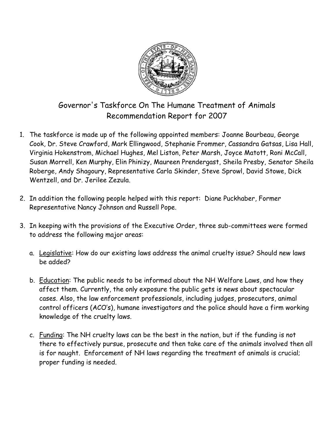

Governor's Taskforce On The Humane Treatment of Animals Recommendation Report for 2007

- 1. The taskforce is made up of the following appointed members: Joanne Bourbeau, George Cook, Dr. Steve Crawford, Mark Ellingwood, Stephanie Frommer, Cassandra Gatsas, Lisa Hall, Virginia Hokenstrom, Michael Hughes, Mel Liston, Peter Marsh, Joyce Matott, Roni McCall, Susan Morrell, Ken Murphy, Elin Phinizy, Maureen Prendergast, Sheila Presby, Senator Sheila Roberge, Andy Shagoury, Representative Carla Skinder, Steve Sprowl, David Stowe, Dick Wentzell, and Dr. Jerilee Zezula.
- 2. In addition the following people helped with this report: Diane Puckhaber, Former Representative Nancy Johnson and Russell Pope.
- 3. In keeping with the provisions of the Executive Order, three sub-committees were formed to address the following major areas:
	- a. Legislative: How do our existing laws address the animal cruelty issue? Should new laws be added?
	- b. Education: The public needs to be informed about the NH Welfare Laws, and how they affect them. Currently, the only exposure the public gets is news about spectacular cases. Also, the law enforcement professionals, including judges, prosecutors, animal control officers (ACO's), humane investigators and the police should have a firm working knowledge of the cruelty laws.
	- c. Funding: The NH cruelty laws can be the best in the nation, but if the funding is not there to effectively pursue, prosecute and then take care of the animals involved then all is for naught. Enforcement of NH laws regarding the treatment of animals is crucial; proper funding is needed.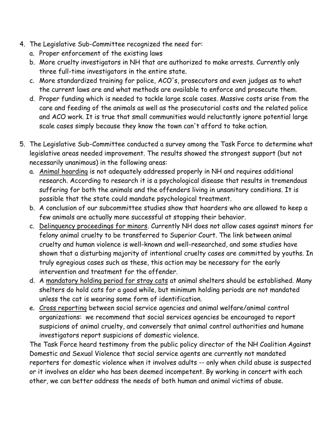- 4. The Legislative Sub-Committee recognized the need for:
	- a. Proper enforcement of the existing laws
	- b. More cruelty investigators in NH that are authorized to make arrests. Currently only three full-time investigators in the entire state.
	- c. More standardized training for police, ACO's, prosecutors and even judges as to what the current laws are and what methods are available to enforce and prosecute them.
	- d. Proper funding which is needed to tackle large scale cases. Massive costs arise from the care and feeding of the animals as well as the prosecutorial costs and the related police and ACO work. It is true that small communities would reluctantly ignore potential large scale cases simply because they know the town can't afford to take action.
- 5. The Legislative Sub-Committee conducted a survey among the Task Force to determine what legislative areas needed improvement. The results showed the strongest support (but not necessarily unanimous) in the following areas:
	- a. Animal hoarding is not adequately addressed properly in NH and requires additional research. According to research it is a psychological disease that results in tremendous suffering for both the animals and the offenders living in unsanitary conditions. It is possible that the state could mandate psychological treatment.
	- b. A conclusion of our subcommittee studies show that hoarders who are allowed to keep a few animals are actually more successful at stopping their behavior.
	- c. Delinquency proceedings for minors. Currently NH does not allow cases against minors for felony animal cruelty to be transferred to Superior Court. The link between animal cruelty and human violence is well-known and well-researched, and some studies have shown that a disturbing majority of intentional cruelty cases are committed by youths. In truly egregious cases such as these, this action may be necessary for the early intervention and treatment for the offender.
	- d. A mandatory holding period for stray cats at animal shelters should be established. Many shelters do hold cats for a good while, but minimum holding periods are not mandated unless the cat is wearing some form of identification.
	- e. Cross reporting between social service agencies and animal welfare/animal control organizations: we recommend that social services agencies be encouraged to report suspicions of animal cruelty, and conversely that animal control authorities and humane investigators report suspicions of domestic violence.

The Task Force heard testimony from the public policy director of the NH Coalition Against Domestic and Sexual Violence that social service agents are currently not mandated reporters for domestic violence when it involves adults -- only when child abuse is suspected or it involves an elder who has been deemed incompetent. By working in concert with each other, we can better address the needs of both human and animal victims of abuse.